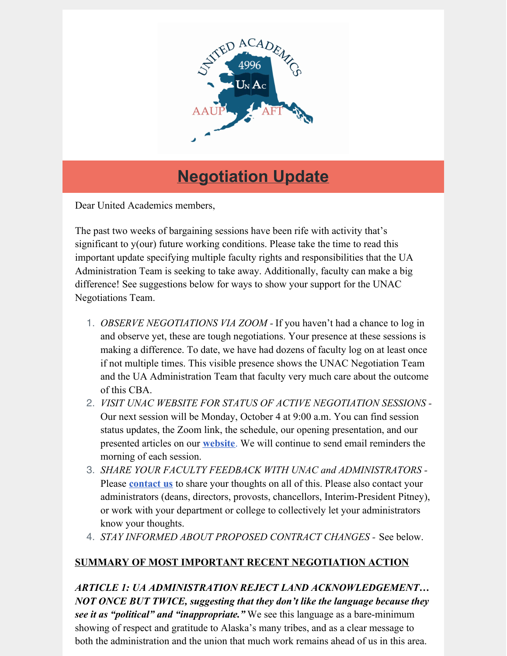

# **Negotiation Update**

Dear United Academics members,

The past two weeks of bargaining sessions have been rife with activity that's significant to y(our) future working conditions. Please take the time to read this important update specifying multiple faculty rights and responsibilities that the UA Administration Team is seeking to take away. Additionally, faculty can make a big difference! See suggestions below for ways to show your support for the UNAC Negotiations Team.

- 1. *OBSERVE NEGOTIATIONS VIA ZOOM -* If you haven't had a chance to log in and observe yet, these are tough negotiations. Your presence at these sessions is making a difference. To date, we have had dozens of faculty log on at least once if not multiple times. This visible presence shows the UNAC Negotiation Team and the UA Administration Team that faculty very much care about the outcome of this CBA.
- 2. *VISIT UNAC WEBSITE FOR STATUS OF ACTIVE NEGOTIATION SESSIONS -* Our next session will be Monday, October 4 at 9:00 a.m. You can find session status updates, the Zoom link, the schedule, our opening presentation, and our presented articles on our **[website](http://unitedacademics.net/)**. We will continue to send email reminders the morning of each session.
- 3. *SHARE YOUR FACULTY FEEDBACK WITH UNAC and ADMINISTRATORS -* Please **[contact](mailto:membership@unac4996ak.com) us** to share your thoughts on all of this. Please also contact your administrators (deans, directors, provosts, chancellors, Interim-President Pitney), or work with your department or college to collectively let your administrators know your thoughts.
- 4. *STAY INFORMED ABOUT PROPOSED CONTRACT CHANGES -* See below.

# **SUMMARY OF MOST IMPORTANT RECENT NEGOTIATION ACTION**

*ARTICLE 1: UA ADMINISTRATION REJECT LAND ACKNOWLEDGEMENT… NOT ONCE BUT TWICE, suggesting that they don't like the language because they see it as "political" and "inappropriate."* We see this language as a bare-minimum showing of respect and gratitude to Alaska's many tribes, and as a clear message to both the administration and the union that much work remains ahead of us in this area.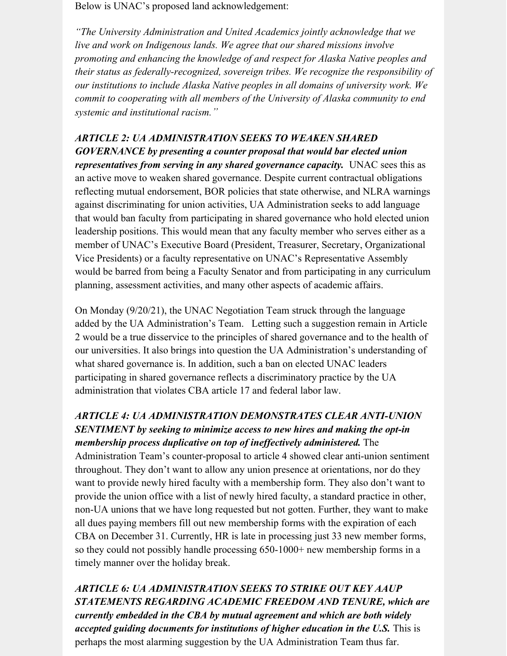Below is UNAC's proposed land acknowledgement:

*"The University Administration and United Academics jointly acknowledge that we live and work on Indigenous lands. We agree that our shared missions involve promoting and enhancing the knowledge of and respect for Alaska Native peoples and their status as federally-recognized, sovereign tribes. We recognize the responsibility of our institutions to include Alaska Native peoples in all domains of university work. We commit to cooperating with all members of the University of Alaska community to end systemic and institutional racism."*

#### *ARTICLE 2: UA ADMINISTRATION SEEKS TO WEAKEN SHARED*

*GOVERNANCE by presenting a counter proposal that would bar elected union representatives from serving in any shared governance capacity.* UNAC sees this as an active move to weaken shared governance. Despite current contractual obligations reflecting mutual endorsement, BOR policies that state otherwise, and NLRA warnings against discriminating for union activities, UA Administration seeks to add language that would ban faculty from participating in shared governance who hold elected union leadership positions. This would mean that any faculty member who serves either as a member of UNAC's Executive Board (President, Treasurer, Secretary, Organizational Vice Presidents) or a faculty representative on UNAC's Representative Assembly would be barred from being a Faculty Senator and from participating in any curriculum planning, assessment activities, and many other aspects of academic affairs.

On Monday (9/20/21), the UNAC Negotiation Team struck through the language added by the UA Administration's Team. Letting such a suggestion remain in Article 2 would be a true disservice to the principles of shared governance and to the health of our universities. It also brings into question the UA Administration's understanding of what shared governance is. In addition, such a ban on elected UNAC leaders participating in shared governance reflects a discriminatory practice by the UA administration that violates CBA article 17 and federal labor law.

## *ARTICLE 4: UA ADMINISTRATION DEMONSTRATES CLEAR ANTI-UNION SENTIMENT by seeking to minimize access to new hires and making the opt-in membership process duplicative on top of inef ectively administered.* The

Administration Team's counter-proposal to article 4 showed clear anti-union sentiment throughout. They don't want to allow any union presence at orientations, nor do they want to provide newly hired faculty with a membership form. They also don't want to provide the union office with a list of newly hired faculty, a standard practice in other, non-UA unions that we have long requested but not gotten. Further, they want to make all dues paying members fill out new membership forms with the expiration of each CBA on December 31. Currently, HR is late in processing just 33 new member forms, so they could not possibly handle processing 650-1000+ new membership forms in a timely manner over the holiday break.

*ARTICLE 6: UA ADMINISTRATION SEEKS TO STRIKE OUT KEY AAUP STATEMENTS REGARDING ACADEMIC FREEDOM AND TENURE, which are currently embedded in the CBA by mutual agreement and which are both widely accepted guiding documents for institutions of higher education in the U.S.* This is perhaps the most alarming suggestion by the UA Administration Team thus far.